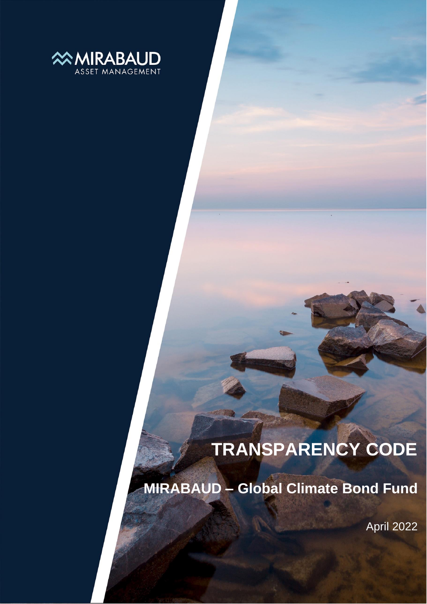

## **TRANSPARENCY CODE**

**MIRABAUD – Global Climate Bond Fund**

April 2022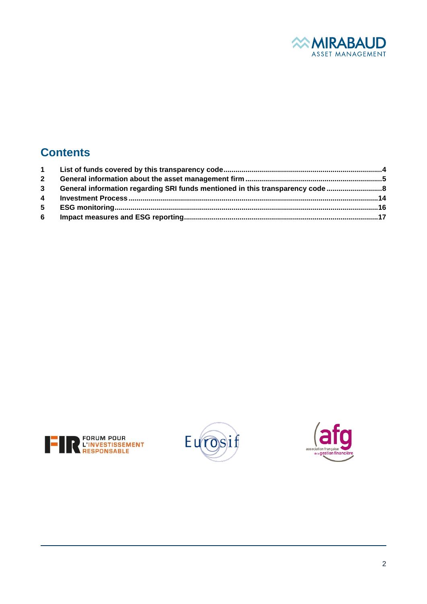

## **Contents**

| $\mathbf{2}$ |                                                                             |  |
|--------------|-----------------------------------------------------------------------------|--|
| $3^{\circ}$  | General information regarding SRI funds mentioned in this transparency code |  |
|              |                                                                             |  |
| $5 -$        |                                                                             |  |
| 6            |                                                                             |  |





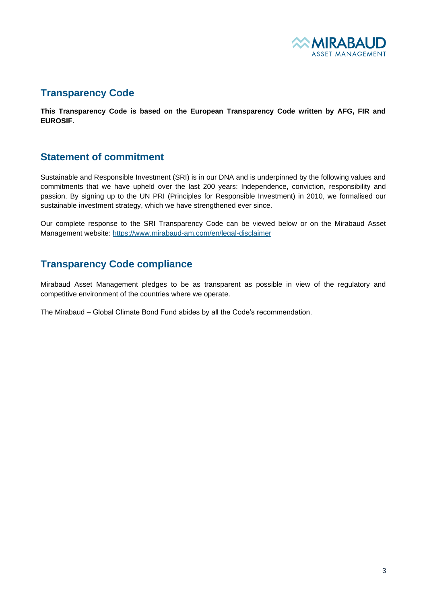

#### **Transparency Code**

**This Transparency Code is based on the European Transparency Code written by AFG, FIR and EUROSIF.**

#### **Statement of commitment**

Sustainable and Responsible Investment (SRI) is in our DNA and is underpinned by the following values and commitments that we have upheld over the last 200 years: Independence, conviction, responsibility and passion. By signing up to the UN PRI (Principles for Responsible Investment) in 2010, we formalised our sustainable investment strategy, which we have strengthened ever since.

Our complete response to the SRI Transparency Code can be viewed below or on the Mirabaud Asset Management website: <https://www.mirabaud-am.com/en/legal-disclaimer>

#### **Transparency Code compliance**

Mirabaud Asset Management pledges to be as transparent as possible in view of the regulatory and competitive environment of the countries where we operate.

The Mirabaud – Global Climate Bond Fund abides by all the Code's recommendation.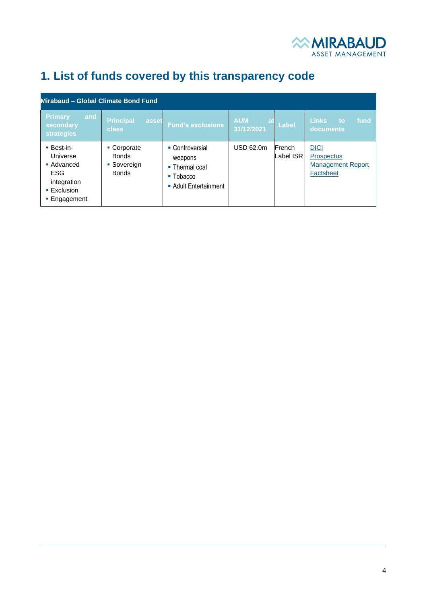

## <span id="page-3-0"></span>**1. List of funds covered by this transparency code**

| Mirabaud - Global Climate Bond Fund                                                                                |                                                            |                                                                                                              |                                       |                      |                                                                           |  |  |  |
|--------------------------------------------------------------------------------------------------------------------|------------------------------------------------------------|--------------------------------------------------------------------------------------------------------------|---------------------------------------|----------------------|---------------------------------------------------------------------------|--|--|--|
| <b>Primary</b><br>and<br>secondary<br><b>strategies</b>                                                            | <b>Principal</b><br><b>asset</b><br><b>class</b>           | <b>Fund's exclusions</b>                                                                                     | <b>AUM</b><br><b>at</b><br>31/12/2021 | Label                | <b>Links</b><br>fund<br>to<br>documents                                   |  |  |  |
| <b>Best-in-</b><br>Universe<br>• Advanced<br><b>ESG</b><br>integration<br>$\blacksquare$ Exclusion<br>■ Engagement | • Corporate<br><b>Bonds</b><br>• Sovereign<br><b>Bonds</b> | • Controversial<br>weapons<br>$\blacksquare$ Thermal coal<br>$\blacksquare$ Tobacco<br>• Adult Entertainment | <b>USD 62.0m</b>                      | French<br>Label ISR. | <b>DICI</b><br><b>Prospectus</b><br><b>Management Report</b><br>Factsheet |  |  |  |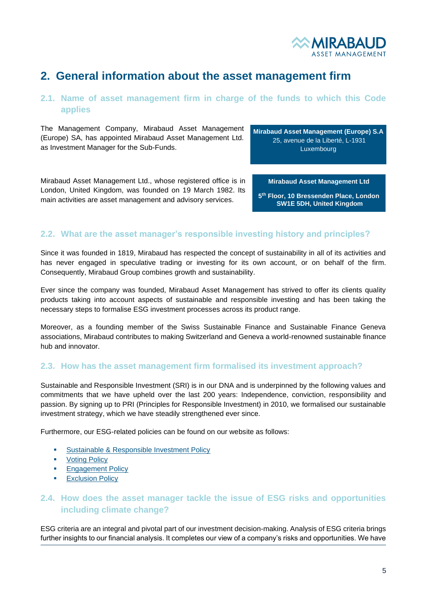

### <span id="page-4-0"></span>**2. General information about the asset management firm**

#### **2.1. Name of asset management firm in charge of the funds to which this Code applies**

The Management Company, Mirabaud Asset Management (Europe) SA, has appointed Mirabaud Asset Management Ltd. as Investment Manager for the Sub-Funds.

**Mirabaud Asset Management (Europe) S.A** 25, avenue de la Liberté, L-1931 Luxembourg

Mirabaud Asset Management Ltd., whose registered office is in London, United Kingdom, was founded on 19 March 1982. Its main activities are asset management and advisory services.

**Mirabaud Asset Management Ltd**

**5 th Floor, 10 Bressenden Place, London SW1E 5DH, United Kingdom**

#### **2.2. What are the asset manager's responsible investing history and principles?**

Since it was founded in 1819, Mirabaud has respected the concept of sustainability in all of its activities and has never engaged in speculative trading or investing for its own account, or on behalf of the firm. Consequently, Mirabaud Group combines growth and sustainability.

Ever since the company was founded, Mirabaud Asset Management has strived to offer its clients quality products taking into account aspects of sustainable and responsible investing and has been taking the necessary steps to formalise ESG investment processes across its product range.

Moreover, as a founding member of the Swiss Sustainable Finance and Sustainable Finance Geneva associations, Mirabaud contributes to making Switzerland and Geneva a world-renowned sustainable finance hub and innovator.

#### **2.3. How has the asset management firm formalised its investment approach?**

Sustainable and Responsible Investment (SRI) is in our DNA and is underpinned by the following values and commitments that we have upheld over the last 200 years: Independence, conviction, responsibility and passion. By signing up to PRI (Principles for Responsible Investment) in 2010, we formalised our sustainable investment strategy, which we have steadily strengthened ever since.

Furthermore, our ESG-related policies can be found on our website as follows:

- [Sustainable & Responsible Investment Policy](https://www.mirabaud-am.com/fileadmin/user_upload/legal/Copyright_and_Legal/mirabaud-am-sustainable-and-responsible-investment-policy.pdf)
- **[Voting Policy](https://www.mirabaud-am.com/fileadmin/user_upload/legal/Copyright_and_Legal/Mirabaud_AM_Proxy_Voting_Policy_EN.pdf)**
- **[Engagement Policy](https://www.mirabaud-am.com/fileadmin/user_upload/legal/Copyright_and_Legal/Mirabaud_AM_Engagement_Policy_EN.pdf)**
- **[Exclusion Policy](https://www.mirabaud-am.com/fileadmin/user_upload/legal/Copyright_and_Legal/MAM_Exclusion_Policy.pdf)**

#### **2.4. How does the asset manager tackle the issue of ESG risks and opportunities including climate change?**

ESG criteria are an integral and pivotal part of our investment decision-making. Analysis of ESG criteria brings further insights to our financial analysis. It completes our view of a company's risks and opportunities. We have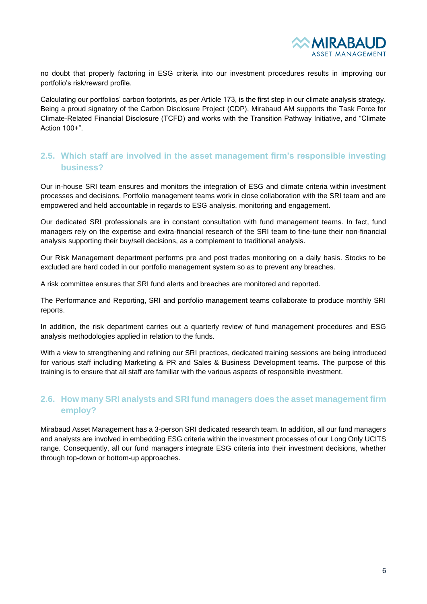

no doubt that properly factoring in ESG criteria into our investment procedures results in improving our portfolio's risk/reward profile.

Calculating our portfolios' carbon footprints, as per Article 173, is the first step in our climate analysis strategy. Being a proud signatory of the Carbon Disclosure Project (CDP), Mirabaud AM supports the Task Force for Climate-Related Financial Disclosure (TCFD) and works with the Transition Pathway Initiative, and "Climate Action 100+".

#### **2.5. Which staff are involved in the asset management firm's responsible investing business?**

Our in-house SRI team ensures and monitors the integration of ESG and climate criteria within investment processes and decisions. Portfolio management teams work in close collaboration with the SRI team and are empowered and held accountable in regards to ESG analysis, monitoring and engagement.

Our dedicated SRI professionals are in constant consultation with fund management teams. In fact, fund managers rely on the expertise and extra-financial research of the SRI team to fine-tune their non-financial analysis supporting their buy/sell decisions, as a complement to traditional analysis.

Our Risk Management department performs pre and post trades monitoring on a daily basis. Stocks to be excluded are hard coded in our portfolio management system so as to prevent any breaches.

A risk committee ensures that SRI fund alerts and breaches are monitored and reported.

The Performance and Reporting, SRI and portfolio management teams collaborate to produce monthly SRI reports.

In addition, the risk department carries out a quarterly review of fund management procedures and ESG analysis methodologies applied in relation to the funds.

With a view to strengthening and refining our SRI practices, dedicated training sessions are being introduced for various staff including Marketing & PR and Sales & Business Development teams. The purpose of this training is to ensure that all staff are familiar with the various aspects of responsible investment.

#### **2.6. How many SRI analysts and SRI fund managers does the asset management firm employ?**

Mirabaud Asset Management has a 3-person SRI dedicated research team. In addition, all our fund managers and analysts are involved in embedding ESG criteria within the investment processes of our Long Only UCITS range. Consequently, all our fund managers integrate ESG criteria into their investment decisions, whether through top-down or bottom-up approaches.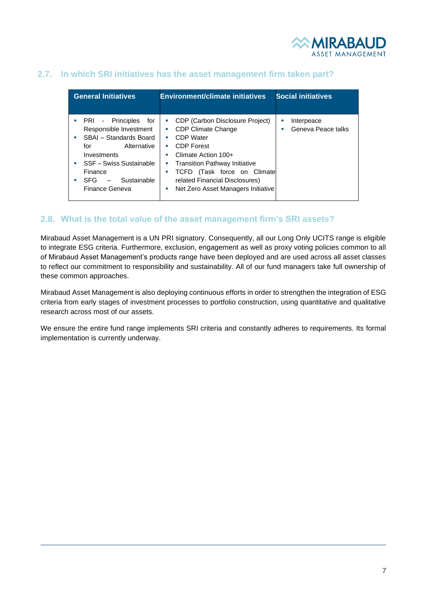

#### **2.7. In which SRI initiatives has the asset management firm taken part?**

| <b>General Initiatives</b>                                                                                                                                                                                                              | <b>Environment/climate initiatives</b>                                                                                                                                                                                                                                                                        | <b>Social initiatives</b>                  |  |
|-----------------------------------------------------------------------------------------------------------------------------------------------------------------------------------------------------------------------------------------|---------------------------------------------------------------------------------------------------------------------------------------------------------------------------------------------------------------------------------------------------------------------------------------------------------------|--------------------------------------------|--|
| PRI - Principles<br>for<br>Responsible Investment<br>SBAI - Standards Board<br>a.<br>Alternative<br>for<br>Investments<br>SSF - Swiss Sustainable<br>Finance<br>Sustainable<br>SFG.<br>a.<br>$\overline{\phantom{a}}$<br>Finance Geneva | CDP (Carbon Disclosure Project)<br>п<br><b>CDP Climate Change</b><br>T,<br>CDP Water<br>×<br><b>CDP Forest</b><br>×<br>Climate Action 100+<br>×<br><b>Transition Pathway Initiative</b><br>×<br>TCFD (Task force on Climate<br>×<br>related Financial Disclosures)<br>Net Zero Asset Managers Initiative<br>× | Interpeace<br>×<br>Geneva Peace talks<br>× |  |

#### **2.8. What is the total value of the asset management firm's SRI assets?**

Mirabaud Asset Management is a UN PRI signatory. Consequently, all our Long Only UCITS range is eligible to integrate ESG criteria. Furthermore, exclusion, engagement as well as proxy voting policies common to all of Mirabaud Asset Management's products range have been deployed and are used across all asset classes to reflect our commitment to responsibility and sustainability. All of our fund managers take full ownership of these common approaches.

Mirabaud Asset Management is also deploying continuous efforts in order to strengthen the integration of ESG criteria from early stages of investment processes to portfolio construction, using quantitative and qualitative research across most of our assets.

We ensure the entire fund range implements SRI criteria and constantly adheres to requirements. Its formal implementation is currently underway.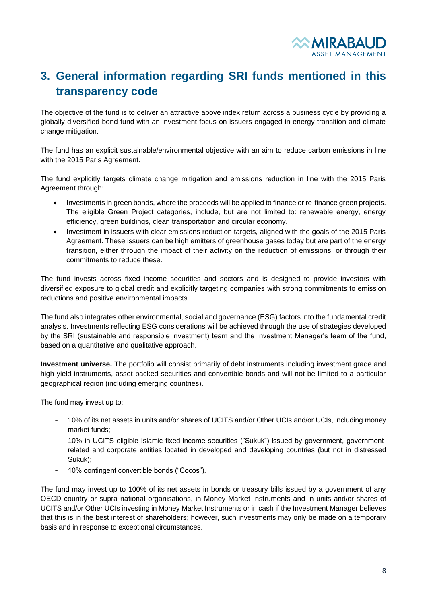

## <span id="page-7-0"></span>**3. General information regarding SRI funds mentioned in this transparency code**

The objective of the fund is to deliver an attractive above index return across a business cycle by providing a globally diversified bond fund with an investment focus on issuers engaged in energy transition and climate change mitigation.

The fund has an explicit sustainable/environmental objective with an aim to reduce carbon emissions in line with the 2015 Paris Agreement.

The fund explicitly targets climate change mitigation and emissions reduction in line with the 2015 Paris Agreement through:

- Investments in green bonds, where the proceeds will be applied to finance or re-finance green projects. The eligible Green Project categories, include, but are not limited to: renewable energy, energy efficiency, green buildings, clean transportation and circular economy.
- Investment in issuers with clear emissions reduction targets, aligned with the goals of the 2015 Paris Agreement. These issuers can be high emitters of greenhouse gases today but are part of the energy transition, either through the impact of their activity on the reduction of emissions, or through their commitments to reduce these.

The fund invests across fixed income securities and sectors and is designed to provide investors with diversified exposure to global credit and explicitly targeting companies with strong commitments to emission reductions and positive environmental impacts.

The fund also integrates other environmental, social and governance (ESG) factors into the fundamental credit analysis. Investments reflecting ESG considerations will be achieved through the use of strategies developed by the SRI (sustainable and responsible investment) team and the Investment Manager's team of the fund, based on a quantitative and qualitative approach.

**Investment universe.** The portfolio will consist primarily of debt instruments including investment grade and high yield instruments, asset backed securities and convertible bonds and will not be limited to a particular geographical region (including emerging countries).

The fund may invest up to:

- 10% of its net assets in units and/or shares of UCITS and/or Other UCIs and/or UCIs, including money market funds;
- 10% in UCITS eligible Islamic fixed-income securities ("Sukuk") issued by government, governmentrelated and corporate entities located in developed and developing countries (but not in distressed Sukuk);
- 10% contingent convertible bonds ("Cocos").

The fund may invest up to 100% of its net assets in bonds or treasury bills issued by a government of any OECD country or supra national organisations, in Money Market Instruments and in units and/or shares of UCITS and/or Other UCIs investing in Money Market Instruments or in cash if the Investment Manager believes that this is in the best interest of shareholders; however, such investments may only be made on a temporary basis and in response to exceptional circumstances.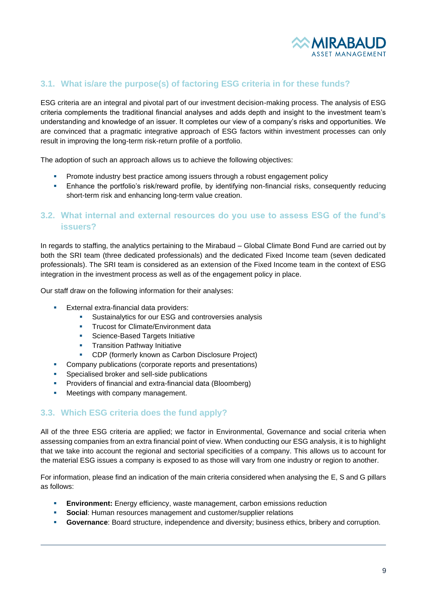

#### **3.1. What is/are the purpose(s) of factoring ESG criteria in for these funds?**

ESG criteria are an integral and pivotal part of our investment decision-making process. The analysis of ESG criteria complements the traditional financial analyses and adds depth and insight to the investment team's understanding and knowledge of an issuer. It completes our view of a company's risks and opportunities. We are convinced that a pragmatic integrative approach of ESG factors within investment processes can only result in improving the long-term risk-return profile of a portfolio.

The adoption of such an approach allows us to achieve the following objectives:

- Promote industry best practice among issuers through a robust engagement policy
- **•** Enhance the portfolio's risk/reward profile, by identifying non-financial risks, consequently reducing short-term risk and enhancing long-term value creation.

#### **3.2. What internal and external resources do you use to assess ESG of the fund's issuers?**

In regards to staffing, the analytics pertaining to the Mirabaud – Global Climate Bond Fund are carried out by both the SRI team (three dedicated professionals) and the dedicated Fixed Income team (seven dedicated professionals). The SRI team is considered as an extension of the Fixed Income team in the context of ESG integration in the investment process as well as of the engagement policy in place.

Our staff draw on the following information for their analyses:

- **External extra-financial data providers:** 
	- **EXECUTE:** Sustainalytics for our ESG and controversies analysis
	- **Trucost for Climate/Environment data**
	- **Science-Based Targets Initiative**
	- **•** Transition Pathway Initiative
	- CDP (formerly known as Carbon Disclosure Project)
- Company publications (corporate reports and presentations)
- **EXEC** Specialised broker and sell-side publications
- **•** Providers of financial and extra-financial data (Bloomberg)
- Meetings with company management.

#### **3.3. Which ESG criteria does the fund apply?**

All of the three ESG criteria are applied; we factor in Environmental, Governance and social criteria when assessing companies from an extra financial point of view. When conducting our ESG analysis, it is to highlight that we take into account the regional and sectorial specificities of a company. This allows us to account for the material ESG issues a company is exposed to as those will vary from one industry or region to another.

For information, please find an indication of the main criteria considered when analysing the E, S and G pillars as follows:

- **Environment:** Energy efficiency, waste management, carbon emissions reduction
- **Social: Human resources management and customer/supplier relations**
- **Governance**: Board structure, independence and diversity; business ethics, bribery and corruption.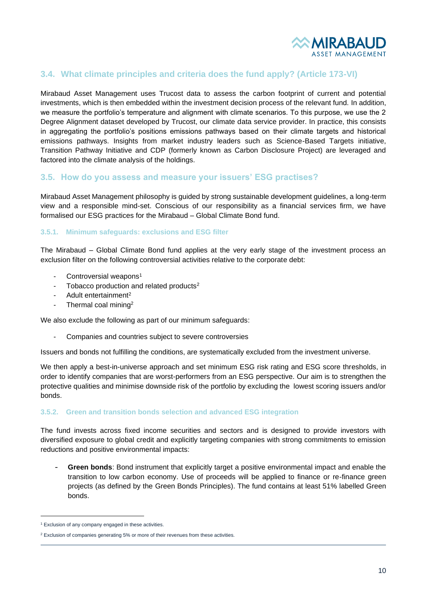

#### **3.4. What climate principles and criteria does the fund apply? (Article 173-VI)**

Mirabaud Asset Management uses Trucost data to assess the carbon footprint of current and potential investments, which is then embedded within the investment decision process of the relevant fund. In addition, we measure the portfolio's temperature and alignment with climate scenarios. To this purpose, we use the 2 Degree Alignment dataset developed by Trucost, our climate data service provider. In practice, this consists in aggregating the portfolio's positions emissions pathways based on their climate targets and historical emissions pathways. Insights from market industry leaders such as Science-Based Targets initiative, Transition Pathway Initiative and CDP (formerly known as Carbon Disclosure Project) are leveraged and factored into the climate analysis of the holdings.

#### **3.5. How do you assess and measure your issuers' ESG practises?**

Mirabaud Asset Management philosophy is guided by strong sustainable development guidelines, a long-term view and a responsible mind-set. Conscious of our responsibility as a financial services firm, we have formalised our ESG practices for the Mirabaud – Global Climate Bond fund.

#### **3.5.1. Minimum safeguards: exclusions and ESG filter**

The Mirabaud – Global Climate Bond fund applies at the very early stage of the investment process an exclusion filter on the following controversial activities relative to the corporate debt:

- Controversial weapons<sup>1</sup>
- Tobacco production and related products<sup>2</sup>
- Adult entertainment<sup>2</sup>
- Thermal coal mining<sup>2</sup>

We also exclude the following as part of our minimum safeguards:

Companies and countries subject to severe controversies

Issuers and bonds not fulfilling the conditions, are systematically excluded from the investment universe.

We then apply a best-in-universe approach and set minimum ESG risk rating and ESG score thresholds, in order to identify companies that are worst-performers from an ESG perspective. Our aim is to strengthen the protective qualities and minimise downside risk of the portfolio by excluding the lowest scoring issuers and/or bonds.

#### **3.5.2. Green and transition bonds selection and advanced ESG integration**

The fund invests across fixed income securities and sectors and is designed to provide investors with diversified exposure to global credit and explicitly targeting companies with strong commitments to emission reductions and positive environmental impacts:

Green bonds: Bond instrument that explicitly target a positive environmental impact and enable the transition to low carbon economy. Use of proceeds will be applied to finance or re-finance green projects (as defined by the [Green Bonds Principles\)](https://www.icmagroup.org/assets/documents/Regulatory/Green-Bonds/Green-Bonds-Principles-June-2018-270520.pdf). The fund contains at least 51% labelled Green bonds.

<sup>&</sup>lt;sup>1</sup> Exclusion of any company engaged in these activities.

<sup>&</sup>lt;sup>2</sup> Exclusion of companies generating 5% or more of their revenues from these activities.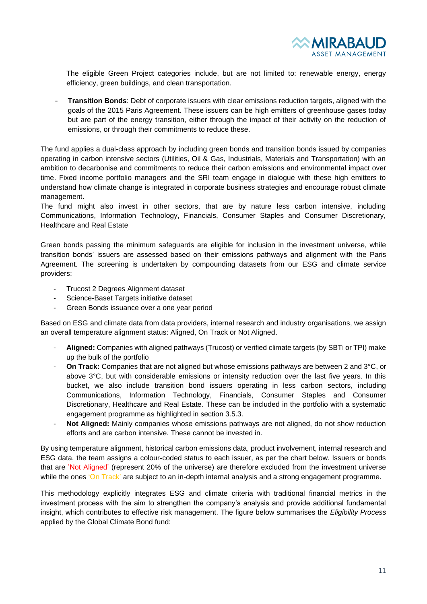

The eligible Green Project categories include, but are not limited to: renewable energy, energy efficiency, green buildings, and clean transportation.

- **Transition Bonds**: Debt of corporate issuers with clear emissions reduction targets, aligned with the goals of the 2015 Paris Agreement. These issuers can be high emitters of greenhouse gases today but are part of the energy transition, either through the impact of their activity on the reduction of emissions, or through their commitments to reduce these.

The fund applies a dual-class approach by including green bonds and transition bonds issued by companies operating in carbon intensive sectors (Utilities, Oil & Gas, Industrials, Materials and Transportation) with an ambition to decarbonise and commitments to reduce their carbon emissions and environmental impact over time. Fixed income portfolio managers and the SRI team engage in dialogue with these high emitters to understand how climate change is integrated in corporate business strategies and encourage robust climate management.

The fund might also invest in other sectors, that are by nature less carbon intensive, including Communications, Information Technology, Financials, Consumer Staples and Consumer Discretionary, Healthcare and Real Estate

Green bonds passing the minimum safeguards are eligible for inclusion in the investment universe, while transition bonds' issuers are assessed based on their emissions pathways and alignment with the Paris Agreement. The screening is undertaken by compounding datasets from our ESG and climate service providers:

- Trucost 2 Degrees Alignment dataset
- Science-Baset Targets initiative dataset
- Green Bonds issuance over a one year period

Based on ESG and climate data from data providers, internal research and industry organisations, we assign an overall temperature alignment status: Aligned, On Track or Not Aligned.

- **Aligned:** Companies with aligned pathways (Trucost) or verified climate targets (by SBTi or TPI) make up the bulk of the portfolio
- **On Track:** Companies that are not aligned but whose emissions pathways are between 2 and 3°C, or above 3°C, but with considerable emissions or intensity reduction over the last five years. In this bucket, we also include transition bond issuers operating in less carbon sectors, including Communications, Information Technology, Financials, Consumer Staples and Consumer Discretionary, Healthcare and Real Estate. These can be included in the portfolio with a systematic engagement programme as highlighted in section 3.5.3.
- **Not Aligned:** Mainly companies whose emissions pathways are not aligned, do not show reduction efforts and are carbon intensive. These cannot be invested in.

By using temperature alignment, historical carbon emissions data, product involvement, internal research and ESG data, the team assigns a colour-coded status to each issuer, as per the chart below. Issuers or bonds that are 'Not Aligned' (represent 20% of the universe) are therefore excluded from the investment universe while the ones 'On Track' are subject to an in-depth internal analysis and a strong engagement programme.

This methodology explicitly integrates ESG and climate criteria with traditional financial metrics in the investment process with the aim to strengthen the company's analysis and provide additional fundamental insight, which contributes to effective risk management. The figure below summarises the *Eligibility Process* applied by the Global Climate Bond fund: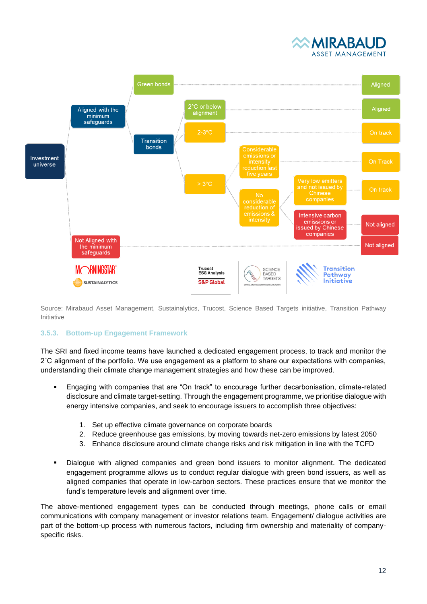



Source: Mirabaud Asset Management, Sustainalytics, Trucost, Science Based Targets initiative, Transition Pathway Initiative

#### **3.5.3. Bottom-up Engagement Framework**

The SRI and fixed income teams have launched a dedicated engagement process, to track and monitor the 2˚C alignment of the portfolio. We use engagement as a platform to share our expectations with companies, understanding their climate change management strategies and how these can be improved.

- Engaging with companies that are "On track" to encourage further decarbonisation, climate-related disclosure and climate target-setting. Through the engagement programme, we prioritise dialogue with energy intensive companies, and seek to encourage issuers to accomplish three objectives:
	- 1. Set up effective climate governance on corporate boards
	- 2. Reduce greenhouse gas emissions, by moving towards net-zero emissions by latest 2050
	- 3. Enhance disclosure around climate change risks and risk mitigation in line with the TCFD
- Dialogue with aligned companies and green bond issuers to monitor alignment. The dedicated engagement programme allows us to conduct regular dialogue with green bond issuers, as well as aligned companies that operate in low-carbon sectors. These practices ensure that we monitor the fund's temperature levels and alignment over time.

The above-mentioned engagement types can be conducted through meetings, phone calls or email communications with company management or investor relations team. Engagement/ dialogue activities are part of the bottom-up process with numerous factors, including firm ownership and materiality of companyspecific risks.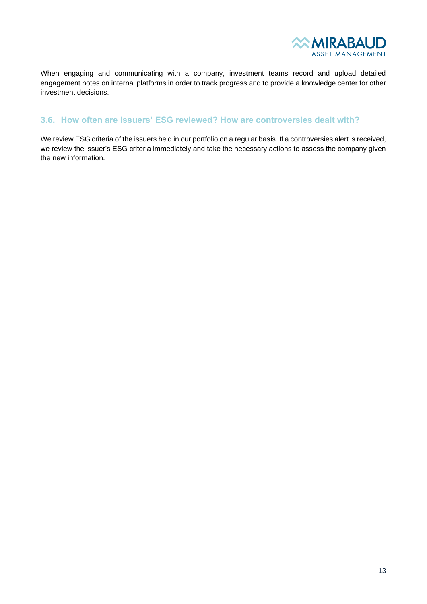

When engaging and communicating with a company, investment teams record and upload detailed engagement notes on internal platforms in order to track progress and to provide a knowledge center for other investment decisions.

#### **3.6. How often are issuers' ESG reviewed? How are controversies dealt with?**

We review ESG criteria of the issuers held in our portfolio on a regular basis. If a controversies alert is received, we review the issuer's ESG criteria immediately and take the necessary actions to assess the company given the new information.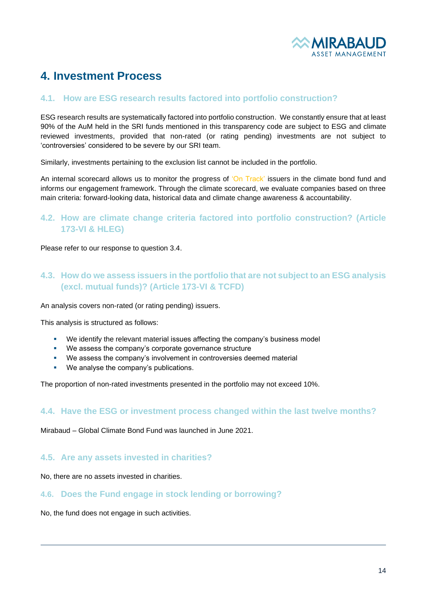

## <span id="page-13-0"></span>**4. Investment Process**

#### **4.1. How are ESG research results factored into portfolio construction?**

ESG research results are systematically factored into portfolio construction. We constantly ensure that at least 90% of the AuM held in the SRI funds mentioned in this transparency code are subject to ESG and climate reviewed investments, provided that non-rated (or rating pending) investments are not subject to 'controversies' considered to be severe by our SRI team.

Similarly, investments pertaining to the exclusion list cannot be included in the portfolio.

An internal scorecard allows us to monitor the progress of 'On Track' issuers in the climate bond fund and informs our engagement framework. Through the climate scorecard, we evaluate companies based on three main criteria: forward-looking data, historical data and climate change awareness & accountability.

#### **4.2. How are climate change criteria factored into portfolio construction? (Article 173-VI & HLEG)**

Please refer to our response to question 3.4.

#### **4.3. How do we assess issuers in the portfolio that are not subject to an ESG analysis (excl. mutual funds)? (Article 173-VI & TCFD)**

An analysis covers non-rated (or rating pending) issuers.

This analysis is structured as follows:

- We identify the relevant material issues affecting the company's business model
- We assess the company's corporate governance structure
- We assess the company's involvement in controversies deemed material
- We analyse the company's publications.

The proportion of non-rated investments presented in the portfolio may not exceed 10%.

#### **4.4. Have the ESG or investment process changed within the last twelve months?**

Mirabaud – Global Climate Bond Fund was launched in June 2021.

#### **4.5. Are any assets invested in charities?**

No, there are no assets invested in charities.

#### **4.6. Does the Fund engage in stock lending or borrowing?**

No, the fund does not engage in such activities.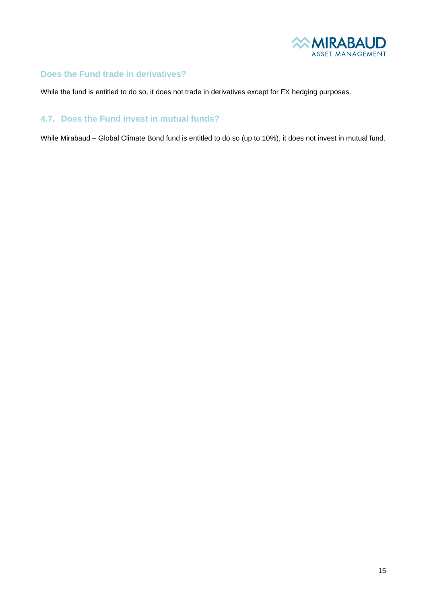

#### **Does the Fund trade in derivatives?**

While the fund is entitled to do so, it does not trade in derivatives except for FX hedging purposes.

#### **4.7. Does the Fund invest in mutual funds?**

While Mirabaud – Global Climate Bond fund is entitled to do so (up to 10%), it does not invest in mutual fund.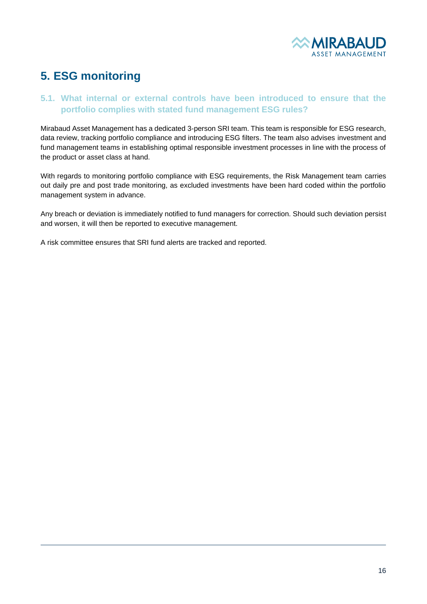

## <span id="page-15-0"></span>**5. ESG monitoring**

#### **5.1. What internal or external controls have been introduced to ensure that the portfolio complies with stated fund management ESG rules?**

Mirabaud Asset Management has a dedicated 3-person SRI team. This team is responsible for ESG research, data review, tracking portfolio compliance and introducing ESG filters. The team also advises investment and fund management teams in establishing optimal responsible investment processes in line with the process of the product or asset class at hand.

With regards to monitoring portfolio compliance with ESG requirements, the Risk Management team carries out daily pre and post trade monitoring, as excluded investments have been hard coded within the portfolio management system in advance.

Any breach or deviation is immediately notified to fund managers for correction. Should such deviation persist and worsen, it will then be reported to executive management.

A risk committee ensures that SRI fund alerts are tracked and reported.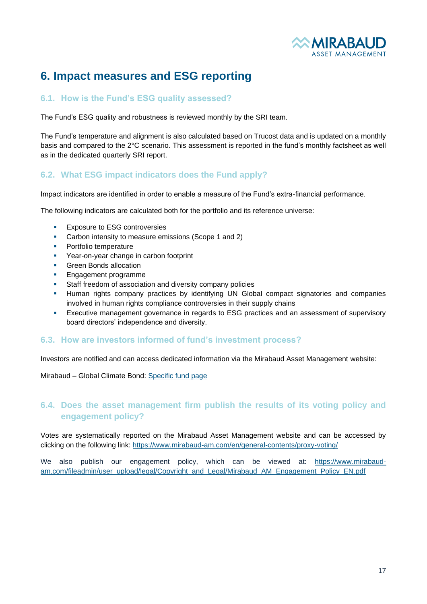

## <span id="page-16-0"></span>**6. Impact measures and ESG reporting**

#### **6.1. How is the Fund's ESG quality assessed?**

The Fund's ESG quality and robustness is reviewed monthly by the SRI team.

The Fund's temperature and alignment is also calculated based on Trucost data and is updated on a monthly basis and compared to the 2°C scenario. This assessment is reported in the fund's monthly factsheet as well as in the dedicated quarterly SRI report.

#### **6.2. What ESG impact indicators does the Fund apply?**

Impact indicators are identified in order to enable a measure of the Fund's extra-financial performance.

The following indicators are calculated both for the portfolio and its reference universe:

- Exposure to ESG controversies
- Carbon intensity to measure emissions (Scope 1 and 2)
- **•** Portfolio temperature
- Year-on-year change in carbon footprint
- **•** Green Bonds allocation
- **Engagement programme**
- Staff freedom of association and diversity company policies
- Human rights company practices by identifying UN Global compact signatories and companies involved in human rights compliance controversies in their supply chains
- **Executive management governance in regards to ESG practices and an assessment of supervisory** board directors' independence and diversity.

#### **6.3. How are investors informed of fund's investment process?**

Investors are notified and can access dedicated information via the Mirabaud Asset Management website:

Mirabaud – Global Climate Bond: [Specific fund page](https://www.mirabaud-am.com/en/funds/qual/mirabaud-global-climate-bond-fund-i-cap-eur)

#### **6.4. Does the asset management firm publish the results of its voting policy and engagement policy?**

Votes are systematically reported on the Mirabaud Asset Management website and can be accessed by clicking on the following link: <https://www.mirabaud-am.com/en/general-contents/proxy-voting/>

We also publish our engagement policy, which can be viewed at: [https://www.mirabaud](https://www.mirabaud-am.com/fileadmin/user_upload/legal/Copyright_and_Legal/Mirabaud_AM_Engagement_Policy_EN.pdf)[am.com/fileadmin/user\\_upload/legal/Copyright\\_and\\_Legal/Mirabaud\\_AM\\_Engagement\\_Policy\\_EN.pdf](https://www.mirabaud-am.com/fileadmin/user_upload/legal/Copyright_and_Legal/Mirabaud_AM_Engagement_Policy_EN.pdf)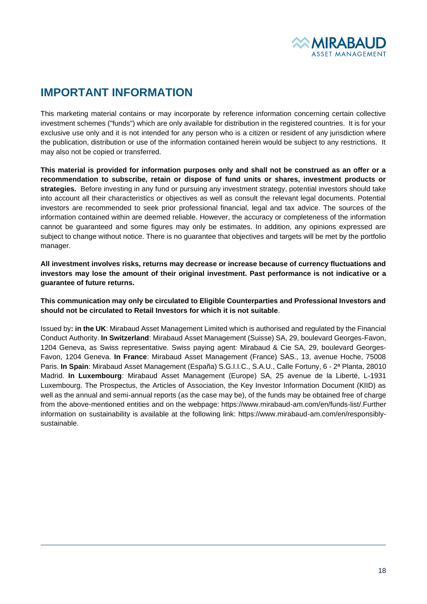

## **IMPORTANT INFORMATION**

This marketing material contains or may incorporate by reference information concerning certain collective investment schemes ("funds") which are only available for distribution in the registered countries. It is for your exclusive use only and it is not intended for any person who is a citizen or resident of any jurisdiction where the publication, distribution or use of the information contained herein would be subject to any restrictions. It may also not be copied or transferred.

**This material is provided for information purposes only and shall not be construed as an offer or a recommendation to subscribe, retain or dispose of fund units or shares, investment products or strategies.** Before investing in any fund or pursuing any investment strategy, potential investors should take into account all their characteristics or objectives as well as consult the relevant legal documents. Potential investors are recommended to seek prior professional financial, legal and tax advice. The sources of the information contained within are deemed reliable. However, the accuracy or completeness of the information cannot be guaranteed and some figures may only be estimates. In addition, any opinions expressed are subject to change without notice. There is no guarantee that objectives and targets will be met by the portfolio manager.

**All investment involves risks, returns may decrease or increase because of currency fluctuations and investors may lose the amount of their original investment. Past performance is not indicative or a guarantee of future returns.** 

**This communication may only be circulated to Eligible Counterparties and Professional Investors and should not be circulated to Retail Investors for which it is not suitable**.

Issued by**: in the UK**: Mirabaud Asset Management Limited which is authorised and regulated by the Financial Conduct Authority. **In Switzerland**: Mirabaud Asset Management (Suisse) SA, 29, boulevard Georges-Favon, 1204 Geneva, as Swiss representative. Swiss paying agent: Mirabaud & Cie SA, 29, boulevard Georges-Favon, 1204 Geneva. **In France**: Mirabaud Asset Management (France) SAS., 13, avenue Hoche, 75008 Paris. **In Spain**: Mirabaud Asset Management (España) S.G.I.I.C., S.A.U., Calle Fortuny, 6 - 2ª Planta, 28010 Madrid. **In Luxembourg**: Mirabaud Asset Management (Europe) SA, 25 avenue de la Liberté, L-1931 Luxembourg. The Prospectus, the Articles of Association, the Key Investor Information Document (KIID) as well as the annual and semi-annual reports (as the case may be), of the funds may be obtained free of charge from the above-mentioned entities and on the webpage: https://www.mirabaud-am.com/en/funds-list/.Further information on sustainability is available at the following link: https://www.mirabaud-am.com/en/responsiblysustainable.